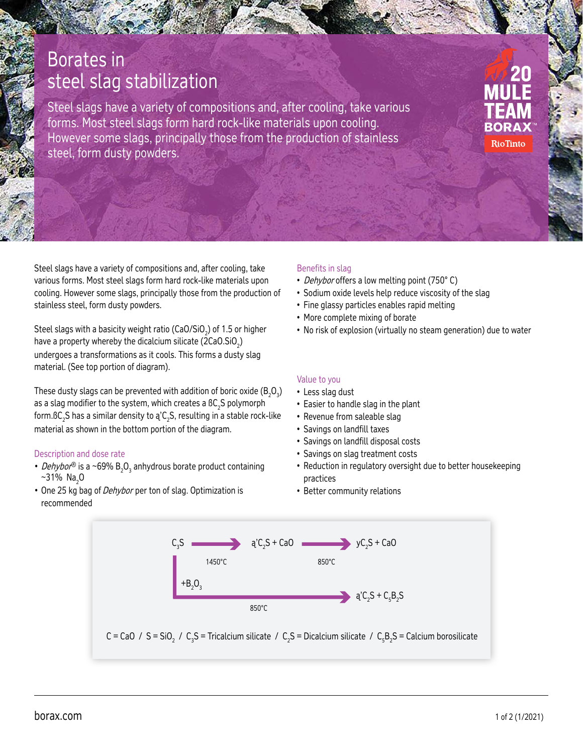# Borates in steel slag stabilization

Steel slags have a variety of compositions and, after cooling, take various forms. Most steel slags form hard rock-like materials upon cooling. However some slags, principally those from the production of stainless steel, form dusty powders.

RioTinto

Steel slags have a variety of compositions and, after cooling, take various forms. Most steel slags form hard rock-like materials upon cooling. However some slags, principally those from the production of stainless steel, form dusty powders.

Steel slags with a basicity weight ratio (CaO/SiO $_{\textrm{\tiny{2}}})$  of 1.5 or higher have a property whereby the dicalcium silicate (2CaO.SiO $_2$ ) undergoes a transformations as it cools. This forms a dusty slag material. (See top portion of diagram).

These dusty slags can be prevented with addition of boric oxide ( $B_2O_3$ ) as a slag modifier to the system, which creates a BC<sub>2</sub>S polymorph form. $\mathtt{BC}_2$ S has a similar density to ą'C $_2$ S, resulting in a stable rock-like material as shown in the bottom portion of the diagram.

#### Description and dose rate

- *Dehybor*® is a ~69%  $B_2O_3$  anhydrous borate product containing  $~1\%$  Na<sub>2</sub>O
- One 25 kg bag of Dehybor per ton of slag. Optimization is recommended

#### Benefits in slag

- Dehybor offers a low melting point (750°C)
- Sodium oxide levels help reduce viscosity of the slag
- Fine glassy particles enables rapid melting
- More complete mixing of borate
- No risk of explosion (virtually no steam generation) due to water

#### Value to you

- Less slag dust
- Easier to handle slag in the plant
- Revenue from saleable slag
- Savings on landfill taxes
- Savings on landfill disposal costs
- Savings on slag treatment costs
- Reduction in regulatory oversight due to better housekeeping practices
- Better community relations